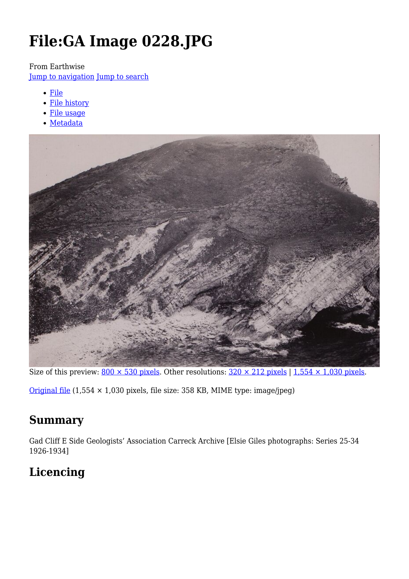# **File:GA Image 0228.JPG**

From Earthwise

[Jump to navigation](#page--1-0) [Jump to search](#page--1-0)

- [File](#page--1-0)
- [File history](#page--1-0)
- [File usage](#page--1-0)
- [Metadata](#page--1-0)



Size of this preview:  $800 \times 530$  pixels. Other resolutions:  $320 \times 212$  pixels | 1,554  $\times$  1,030 pixels.

[Original file](http://earthwise.bgs.ac.uk/images/5/54/GA_Image_0228.JPG)  $(1,554 \times 1,030$  pixels, file size: 358 KB, MIME type: image/jpeg)

### **Summary**

Gad Cliff E Side Geologists' Association Carreck Archive [Elsie Giles photographs: Series 25-34 1926-1934]

# **Licencing**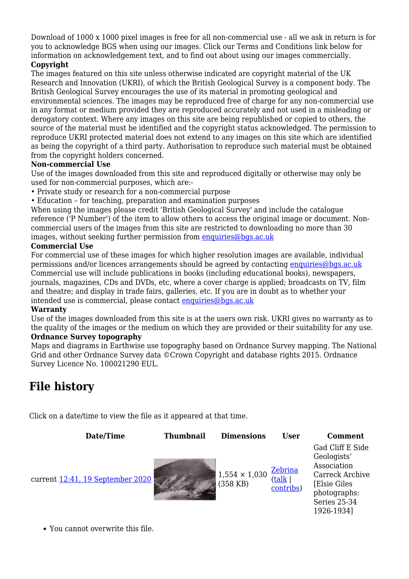Download of 1000 x 1000 pixel images is free for all non-commercial use - all we ask in return is for you to acknowledge BGS when using our images. Click our Terms and Conditions link below for information on acknowledgement text, and to find out about using our images commercially.

#### **Copyright**

The images featured on this site unless otherwise indicated are copyright material of the UK Research and Innovation (UKRI), of which the British Geological Survey is a component body. The British Geological Survey encourages the use of its material in promoting geological and environmental sciences. The images may be reproduced free of charge for any non-commercial use in any format or medium provided they are reproduced accurately and not used in a misleading or derogatory context. Where any images on this site are being republished or copied to others, the source of the material must be identified and the copyright status acknowledged. The permission to reproduce UKRI protected material does not extend to any images on this site which are identified as being the copyright of a third party. Authorisation to reproduce such material must be obtained from the copyright holders concerned.

#### **Non-commercial Use**

Use of the images downloaded from this site and reproduced digitally or otherwise may only be used for non-commercial purposes, which are:-

- Private study or research for a non-commercial purpose
- Education for teaching, preparation and examination purposes

When using the images please credit 'British Geological Survey' and include the catalogue reference ('P Number') of the item to allow others to access the original image or document. Noncommercial users of the images from this site are restricted to downloading no more than 30 images, without seeking further permission from [enquiries@bgs.ac.uk](mailto:enquiries@bgs.ac.uk)

#### **Commercial Use**

For commercial use of these images for which higher resolution images are available, individual permissions and/or licences arrangements should be agreed by contacting [enquiries@bgs.ac.uk](mailto:enquiries@bgs.ac.uk) Commercial use will include publications in books (including educational books), newspapers, journals, magazines, CDs and DVDs, etc, where a cover charge is applied; broadcasts on TV, film and theatre; and display in trade fairs, galleries, etc. If you are in doubt as to whether your intended use is commercial, please contact [enquiries@bgs.ac.uk](mailto:enquiries@bgs.ac.uk)

#### **Warranty**

Use of the images downloaded from this site is at the users own risk. UKRI gives no warranty as to the quality of the images or the medium on which they are provided or their suitability for any use. **Ordnance Survey topography**

Maps and diagrams in Earthwise use topography based on Ordnance Survey mapping. The National Grid and other Ordnance Survey data ©Crown Copyright and database rights 2015. Ordnance Survey Licence No. 100021290 EUL.

### **File history**

Click on a date/time to view the file as it appeared at that time.



You cannot overwrite this file.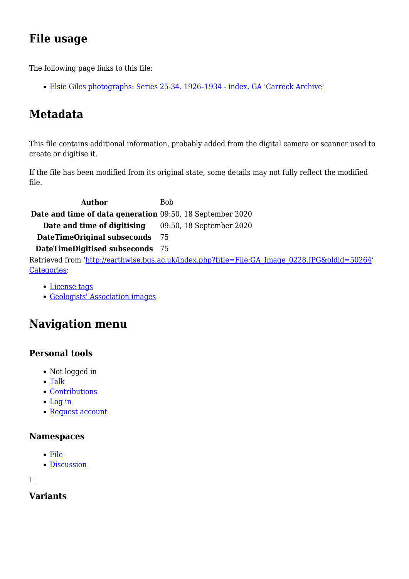# **File usage**

The following page links to this file:

[Elsie Giles photographs: Series 25-34. 1926–1934 - index, GA 'Carreck Archive'](http://earthwise.bgs.ac.uk/index.php/Elsie_Giles_photographs:_Series_25-34._1926%E2%80%931934_-_index,_GA_%27Carreck_Archive%27)

# **Metadata**

This file contains additional information, probably added from the digital camera or scanner used to create or digitise it.

If the file has been modified from its original state, some details may not fully reflect the modified file.

**Author** Bob **Date and time of data generation** 09:50, 18 September 2020 **Date and time of digitising** 09:50, 18 September 2020 **DateTimeOriginal subseconds** 75 **DateTimeDigitised subseconds** 75 Retrieved from ['http://earthwise.bgs.ac.uk/index.php?title=File:GA\\_Image\\_0228.JPG&oldid=50264](http://earthwise.bgs.ac.uk/index.php?title=File:GA_Image_0228.JPG&oldid=50264)' [Categories:](http://earthwise.bgs.ac.uk/index.php/Special:Categories)

- [License tags](http://earthwise.bgs.ac.uk/index.php/Category:License_tags)
- [Geologists' Association images](http://earthwise.bgs.ac.uk/index.php/Category:Geologists%27_Association_images)

# **Navigation menu**

### **Personal tools**

- Not logged in
- [Talk](http://earthwise.bgs.ac.uk/index.php/Special:MyTalk)
- [Contributions](http://earthwise.bgs.ac.uk/index.php/Special:MyContributions)
- [Log in](http://earthwise.bgs.ac.uk/index.php?title=Special:UserLogin&returnto=File%3AGA+Image+0228.JPG&returntoquery=action%3Dmpdf)
- [Request account](http://earthwise.bgs.ac.uk/index.php/Special:RequestAccount)

#### **Namespaces**

- [File](http://earthwise.bgs.ac.uk/index.php/File:GA_Image_0228.JPG)
- [Discussion](http://earthwise.bgs.ac.uk/index.php?title=File_talk:GA_Image_0228.JPG&action=edit&redlink=1)

 $\Box$ 

### **Variants**